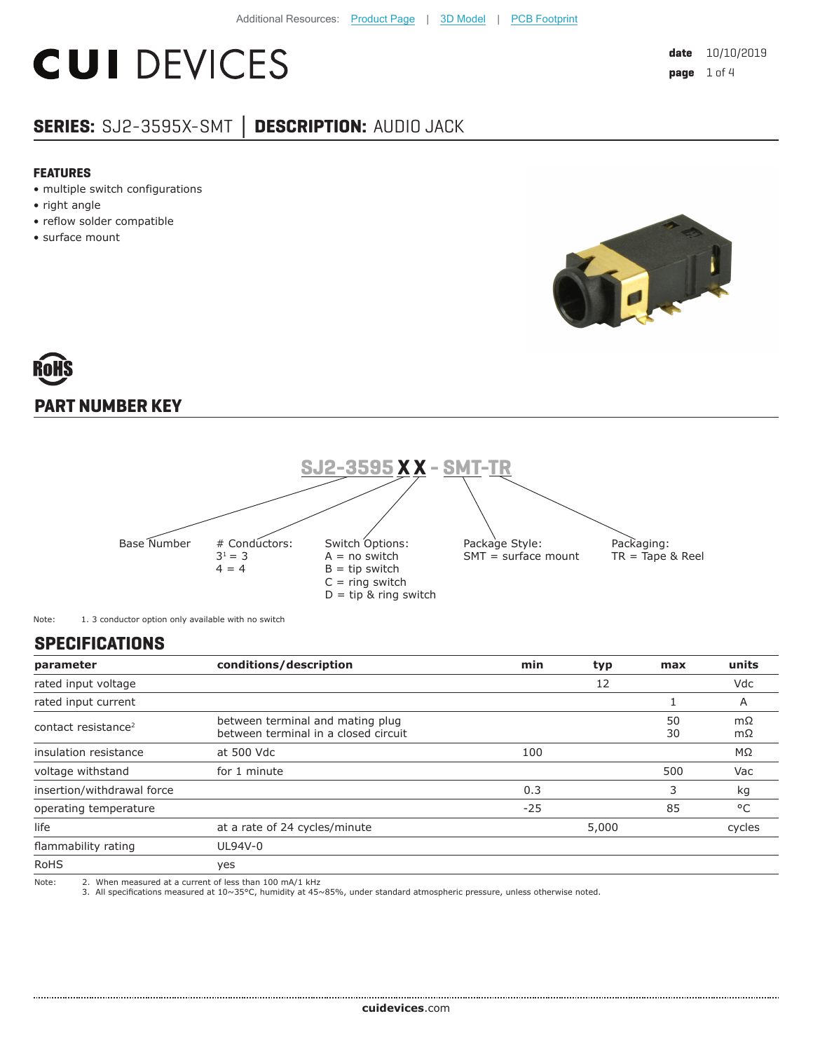# **CUI DEVICES**

### **SERIES:** SJ2-3595X-SMT **│ DESCRIPTION:** AUDIO JACK

#### **FEATURES**

- multiple switch configurations
- right angle
- reflow solder compatible
- surface mount



## **PART NUMBER KEY**



Note: 1. 3 conductor option only available with no switch

#### **SPECIFICATIONS**

| parameter                       | conditions/description                                                   | min   | typ   | max      | units    |
|---------------------------------|--------------------------------------------------------------------------|-------|-------|----------|----------|
| rated input voltage             |                                                                          |       | 12    |          | Vdc      |
| rated input current             |                                                                          |       |       |          | A        |
| contact resistance <sup>2</sup> | between terminal and mating plug<br>between terminal in a closed circuit |       |       | 50<br>30 | mΩ<br>mΩ |
| insulation resistance           | at 500 Vdc                                                               | 100   |       |          | ΜΩ       |
| voltage withstand               | for 1 minute                                                             |       |       | 500      | Vac      |
| insertion/withdrawal force      |                                                                          | 0.3   |       | 3        | kg       |
| operating temperature           |                                                                          | $-25$ |       | 85       | °C       |
| life                            | at a rate of 24 cycles/minute                                            |       | 5,000 |          | cycles   |
| flammability rating             | UL94V-0                                                                  |       |       |          |          |
| <b>RoHS</b>                     | yes                                                                      |       |       |          |          |
| Note:                           | 2. When measured at a current of less than 100 mA/1 kHz                  |       |       |          |          |

Note: 2. When measured at a current of less than 100 mA/1 kHz 3. All specifications measured at 10~35°C, humidity at 45~85%, under standard atmospheric pressure, unless otherwise noted.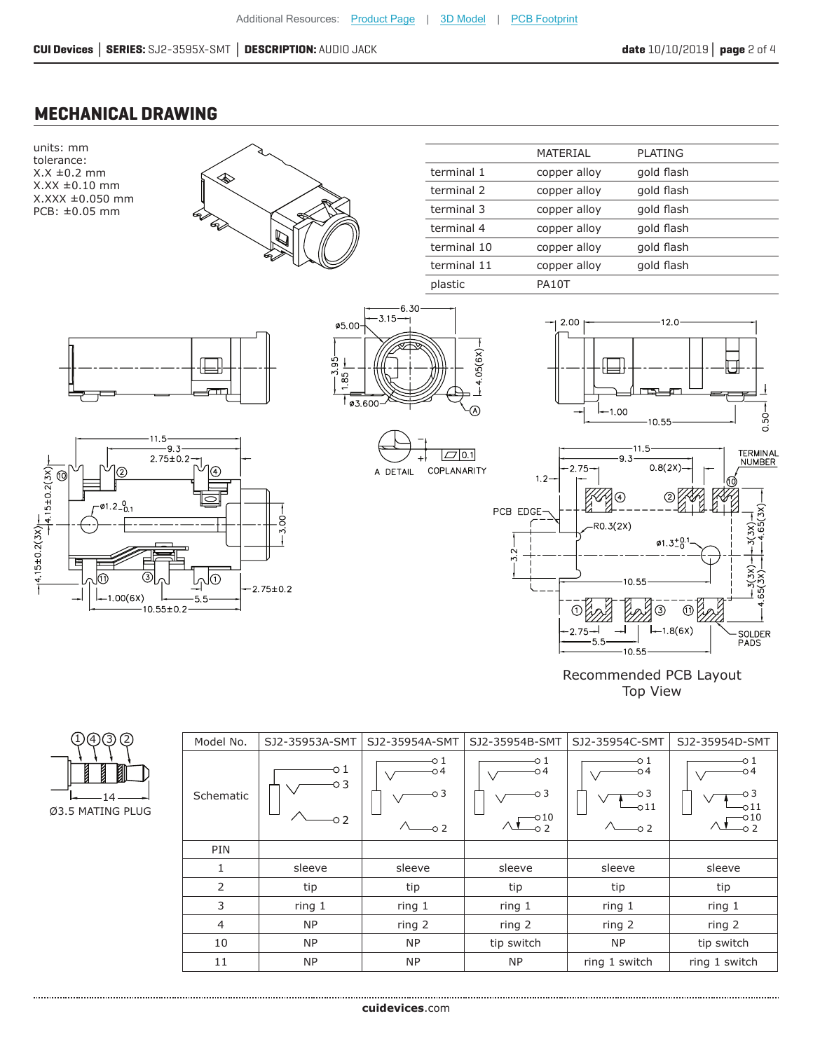#### **MECHANICAL DRAWING**



| Model No. | SJ2-35953A-SMT    | SJ2-35954A-SMT                | SJ2-35954B-SMT                       | SJ2-35954C-SMT                   | SJ2-35954D-SMT                                     |
|-----------|-------------------|-------------------------------|--------------------------------------|----------------------------------|----------------------------------------------------|
| Schematic | o 1<br>-03<br>-02 | O 1<br>-04<br>о 3<br>$\sim$ 2 | -0 1<br>о4<br>о 3<br>$-010$<br>$-02$ | о1<br>о4<br>о 3<br>011<br>$-0.2$ | -0 1<br>-04<br>-03<br>$\circ$ 11<br>-010<br>$-0.2$ |
| PIN       |                   |                               |                                      |                                  |                                                    |
| 1         | sleeve            | sleeve                        | sleeve                               | sleeve                           | sleeve                                             |
| 2         | tip               | tip                           | tip                                  | tip                              | tip                                                |
| 3         | ring 1            | ring 1                        | ring 1                               | ring 1                           | ring 1                                             |
| 4         | <b>NP</b>         | ring 2                        | ring 2                               | ring 2                           | ring 2                                             |
| 10        | <b>NP</b>         | <b>NP</b>                     | tip switch                           | <b>NP</b>                        | tip switch                                         |
| 11        | <b>NP</b>         | <b>NP</b>                     | <b>NP</b>                            | ring 1 switch                    | ring 1 switch                                      |

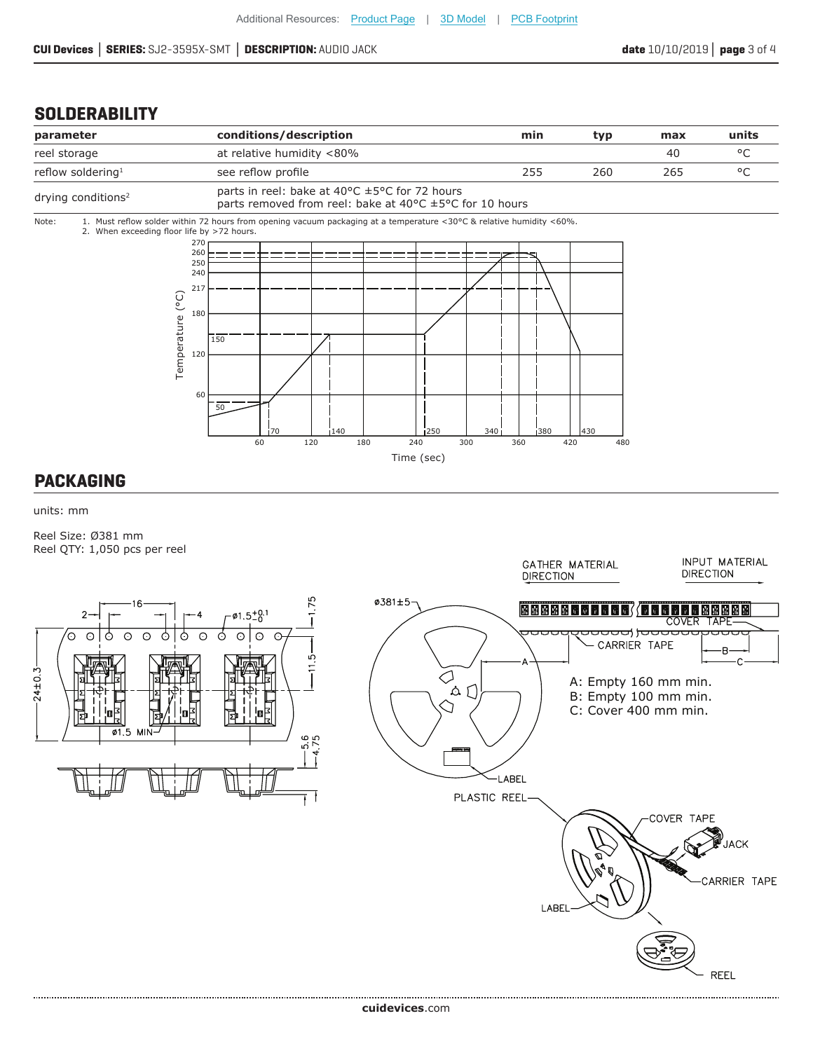#### **SOLDERABILITY**



units: mm

Reel Size: Ø381 mm Reel QTY: 1,050 pcs per reel